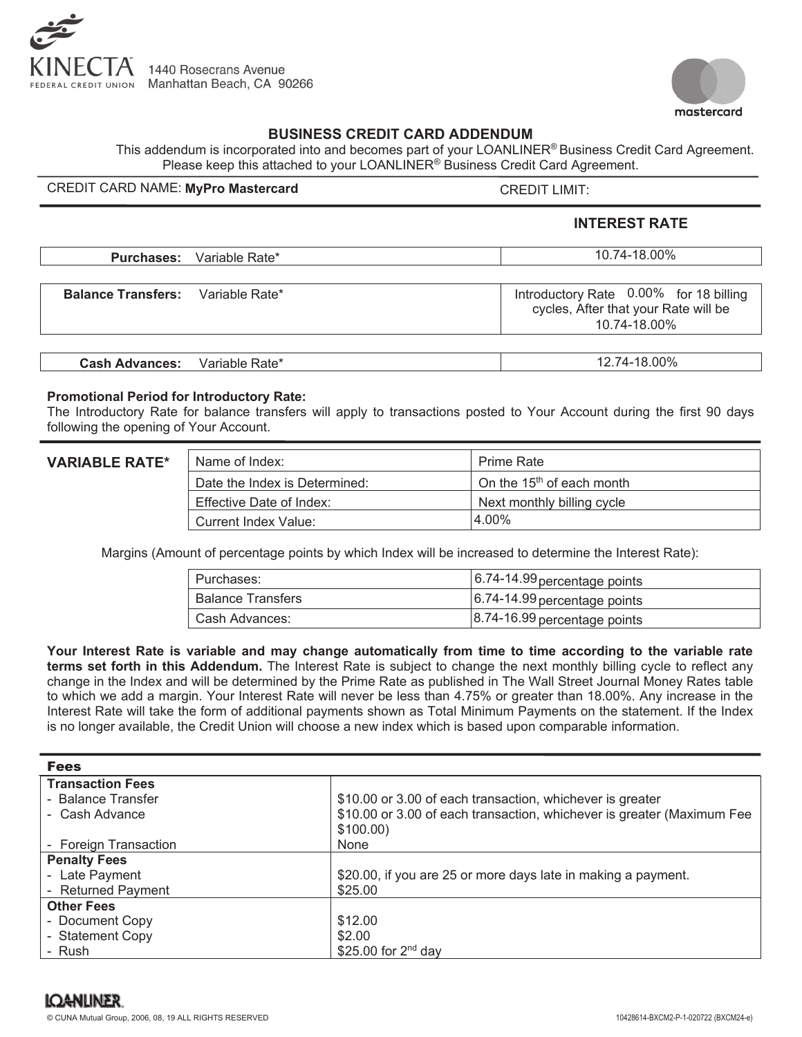



## **BUSINESS CREDIT CARD ADDENDUM**

This addendum is incorporated into and becomes part of your LOANLINER® Business Credit Card Agreement. Please keep this attached to your LOANLINER® Business Credit Card Agreement.

## CREDIT CARD NAME: MyPro Mastercard **Example 20 YO ASSESS** CREDIT LIMIT:

# **INTEREST RATE**

|                                          | <b>Purchases:</b> Variable Rate* | 10.74-18.00%                                                                                   |
|------------------------------------------|----------------------------------|------------------------------------------------------------------------------------------------|
|                                          |                                  |                                                                                                |
| <b>Balance Transfers:</b> Variable Rate* |                                  | Introductory Rate 0.00% for 18 billing<br>cycles, After that your Rate will be<br>10.74-18.00% |
|                                          |                                  |                                                                                                |
| <b>Cash Advances:</b>                    | Variable Rate*                   | 12.74-18.00%                                                                                   |

#### **Promotional Period for Introductory Rate:**

The Introductory Rate for balance transfers will apply to transactions posted to Your Account during the first 90 days following the opening of Your Account.

### **VARIABLE RATE\***

| Name of Index:                | <b>Prime Rate</b>                     |
|-------------------------------|---------------------------------------|
| Date the Index is Determined: | On the 15 <sup>th</sup> of each month |
| Effective Date of Index:      | Next monthly billing cycle            |
| Current Index Value:          | 4.00%                                 |

Margins (Amount of percentage points by which Index will be increased to determine the Interest Rate):

| l Purchases:        | $\vert$ 6.74-14.99 percentage points |
|---------------------|--------------------------------------|
| l Balance Transfers | $6.74-14.99$ percentage points       |
| l Cash Advances:    | 8.74-16.99 percentage points         |

**Your Interest Rate is variable and may change automatically from time to time according to the variable rate terms set forth in this Addendum.** The Interest Rate is subject to change the next monthly billing cycle to reflect any change in the Index and will be determined by the Prime Rate as published in The Wall Street Journal Money Rates table to which we add a margin. Your Interest Rate will never be less than 4.75% or greater than 18.00%. Any increase in the Interest Rate will take the form of additional payments shown as Total Minimum Payments on the statement. If the Index is no longer available, the Credit Union will choose a new index which is based upon comparable information.

| <b>Fees</b>             |                                                                        |  |
|-------------------------|------------------------------------------------------------------------|--|
| <b>Transaction Fees</b> |                                                                        |  |
| - Balance Transfer      | \$10.00 or 3.00 of each transaction, whichever is greater              |  |
| - Cash Advance          | \$10.00 or 3.00 of each transaction, whichever is greater (Maximum Fee |  |
|                         | $$100.00$ )                                                            |  |
| - Foreign Transaction   | None                                                                   |  |
| <b>Penalty Fees</b>     |                                                                        |  |
| - Late Payment          | \$20.00, if you are 25 or more days late in making a payment.          |  |
| - Returned Payment      | \$25.00                                                                |  |
| <b>Other Fees</b>       |                                                                        |  |
| - Document Copy         | \$12.00                                                                |  |
| - Statement Copy        | \$2.00                                                                 |  |
| - Rush                  | \$25.00 for 2 <sup>nd</sup> day                                        |  |